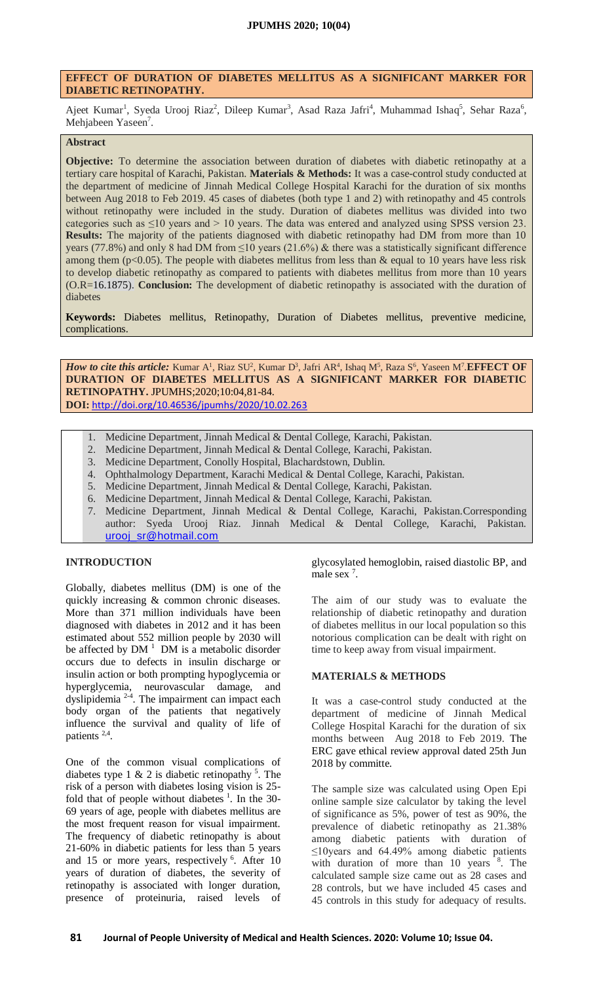## **EFFECT OF DURATION OF DIABETES MELLITUS AS A SIGNIFICANT MARKER FOR DIABETIC RETINOPATHY.**

Ajeet Kumar<sup>1</sup>, Syeda Urooj Riaz<sup>2</sup>, Dileep Kumar<sup>3</sup>, Asad Raza Jafri<sup>4</sup>, Muhammad Ishaq<sup>5</sup>, Sehar Raza<sup>6</sup>, Mehjabeen Yaseen<sup>7</sup>.

# **Abstract**

**Objective:** To determine the association between duration of diabetes with diabetic retinopathy at a tertiary care hospital of Karachi, Pakistan. **Materials & Methods:** It was a case-control study conducted at the department of medicine of Jinnah Medical College Hospital Karachi for the duration of six months between Aug 2018 to Feb 2019. 45 cases of diabetes (both type 1 and 2) with retinopathy and 45 controls without retinopathy were included in the study. Duration of diabetes mellitus was divided into two categories such as ≤10 years and > 10 years. The data was entered and analyzed using SPSS version 23. **Results:** The majority of the patients diagnosed with diabetic retinopathy had DM from more than 10 years (77.8%) and only 8 had DM from  $\leq$ 10 years (21.6%) & there was a statistically significant difference among them ( $p<0.05$ ). The people with diabetes mellitus from less than & equal to 10 years have less risk to develop diabetic retinopathy as compared to patients with diabetes mellitus from more than 10 years (O.R=16.1875). **Conclusion:** The development of diabetic retinopathy is associated with the duration of diabetes

**Keywords:** Diabetes mellitus, Retinopathy, Duration of Diabetes mellitus, preventive medicine, complications.

*How to cite this article:* Kumar A<sup>1</sup>, Riaz SU<sup>2</sup>, Kumar D<sup>3</sup>, Jafri AR<sup>4</sup>, Ishaq M<sup>5</sup>, Raza S<sup>6</sup>, Yaseen M<sup>7</sup>. EFFECT OF **DURATION OF DIABETES MELLITUS AS A SIGNIFICANT MARKER FOR DIABETIC RETINOPATHY.** JPUMHS;2020;10:04,81-84. **DOI:** <http://doi.org/10.46536/jpumhs/2020/10.02.263>

- 1. Medicine Department, Jinnah Medical & Dental College, Karachi, Pakistan.
- 2. Medicine Department, Jinnah Medical & Dental College, Karachi, Pakistan.
- 3. Medicine Department, Conolly Hospital, Blachardstown, Dublin.
- 4. Ophthalmology Department, Karachi Medical & Dental College, Karachi, Pakistan.
- 5. Medicine Department, Jinnah Medical & Dental College, Karachi, Pakistan.
- 6. Medicine Department, Jinnah Medical & Dental College, Karachi, Pakistan.
- 7. Medicine Department, Jinnah Medical & Dental College, Karachi, Pakistan.Corresponding author: Syeda Urooj Riaz. Jinnah Medical & Dental College, Karachi, Pakistan. [urooj\\_sr@hotmail.com](mailto:urooj_sr@hotmail.com)

## **INTRODUCTION**

Globally, diabetes mellitus (DM) is one of the quickly increasing & common chronic diseases. More than 371 million individuals have been diagnosed with diabetes in 2012 and it has been estimated about 552 million people by 2030 will be affected by  $DM<sup>1</sup> DM$  $DM<sup>1</sup> DM$  $DM<sup>1</sup> DM$  is a metabolic disorder occurs due to defects in insulin discharge or insulin action or both prompting hypoglycemia or hyperglycemia, neurovascular damage, and dyslipidemia<sup>[2-4](https://www.cureus.com/publish/articles/33202-effect-of-duration-of-diabetes-mellitus-as-a-significant-marker-for-diabetic-retinopathy/preview#references)</sup>. The impairment can impact each body organ of the patients that negatively influence the survival and quality of life of patients<sup>[2,4](https://www.cureus.com/publish/articles/33202-effect-of-duration-of-diabetes-mellitus-as-a-significant-marker-for-diabetic-retinopathy/preview#references)</sup>.

One of the common visual complications of diabetes type 1 & 2 is diabetic retinopathy  $5$ [.](https://www.cureus.com/publish/articles/33202-effect-of-duration-of-diabetes-mellitus-as-a-significant-marker-for-diabetic-retinopathy/preview#references) The risk of a person with diabetes losing vision is 25 fold that of people without diabetes  $\frac{1}{1}$ [.](https://www.cureus.com/publish/articles/33202-effect-of-duration-of-diabetes-mellitus-as-a-significant-marker-for-diabetic-retinopathy/preview#references) In the 30-69 years of age, people with diabetes mellitus are the most frequent reason for visual impairment. The frequency of diabetic retinopathy is about 21-60% in diabetic patients for less than 5 years and 15 or more years, respectively <sup>6</sup>[.](https://www.cureus.com/publish/articles/33202-effect-of-duration-of-diabetes-mellitus-as-a-significant-marker-for-diabetic-retinopathy/preview#references) After 10 years of duration of diabetes, the severity of retinopathy is associated with longer duration, presence of proteinuria, raised levels of

glycosylated hemoglobin, raised diastolic BP, and male sex<sup>7</sup>[.](https://www.cureus.com/publish/articles/33202-effect-of-duration-of-diabetes-mellitus-as-a-significant-marker-for-diabetic-retinopathy/preview#references)

The aim of our study was to evaluate the relationship of diabetic retinopathy and duration of diabetes mellitus in our local population so this notorious complication can be dealt with right on time to keep away from visual impairment.

## **MATERIALS & METHODS**

It was a case-control study conducted at the department of medicine of Jinnah Medical College Hospital Karachi for the duration of six months between Aug 2018 to Feb 2019. The ERC gave ethical review approval dated 25th Jun 2018 by committe.

The sample size was calculated using Open Epi online sample size calculator by taking the level of significance as 5%, power of test as 90%, the prevalence of diabetic retinopathy as 21.38% among diabetic patients with duration of ≤10years and 64.49% among diabetic patients with duration of more than  $10$  years  $8$ . The calculated sample size came out as 28 cases and 28 controls, but we have included 45 cases and 45 controls in this study for adequacy of results.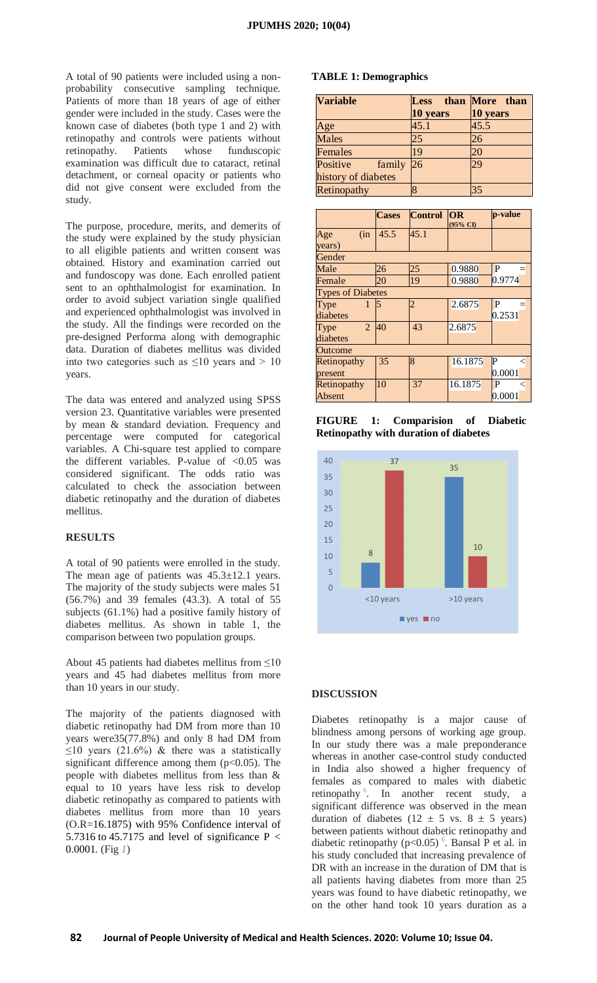A total of 90 patients were included using a nonprobability consecutive sampling technique. Patients of more than 18 years of age of either gender were included in the study. Cases were the known case of diabetes (both type 1 and 2) with retinopathy and controls were patients without retinopathy. Patients whose funduscopic examination was difficult due to cataract, retinal detachment, or corneal opacity or patients who did not give consent were excluded from the study.

The purpose, procedure, merits, and demerits of the study were explained by the study physician to all eligible patients and written consent was obtained. History and examination carried out and fundoscopy was done. Each enrolled patient sent to an ophthalmologist for examination. In order to avoid subject variation single qualified and experienced ophthalmologist was involved in the study. All the findings were recorded on the pre-designed Performa along with demographic data. Duration of diabetes mellitus was divided into two categories such as  $\leq 10$  years and > 10 years.

The data was entered and analyzed using SPSS version 23. Quantitative variables were presented by mean & standard deviation. Frequency and percentage were computed for categorical variables. A Chi-square test applied to compare the different variables. P-value of  $< 0.05$  was considered significant. The odds ratio was calculated to check the association between diabetic retinopathy and the duration of diabetes mellitus.

#### **RESULTS**

A total of 90 patients were enrolled in the study. The mean age of patients was  $45.3 \pm 12.1$  years. The majority of the study subjects were males 51 (56.7%) and 39 females (43.3). A total of 55 subjects (61.1%) had a positive family history of diabetes mellitus. As shown in table 1, the comparison between two population groups.

About 45 patients had diabetes mellitus from  $\leq 10$ years and 45 had diabetes mellitus from more than 10 years in our study.

The majority of the patients diagnosed with diabetic retinopathy had DM from more than 10 years were35(77.8%) and only 8 had DM from  $\leq$ 10 years (21.6%) & there was a statistically significant difference among them  $(p<0.05)$ . The people with diabetes mellitus from less than & equal to 10 years have less risk to develop diabetic retinopathy as compared to patients with diabetes mellitus from more than 10 years (O.R=16.1875) with 95% Confidence interval of 5.7316 to 45.7175 and level of significance  $P <$ 0.0001. (Fig *[1](https://www.cureus.com/publish/articles/33202-effect-of-duration-of-diabetes-mellitus-as-a-significant-marker-for-diabetic-retinopathy/preview#figure-anchor-116505)*)

#### **TABLE 1: Demographics**

| <b>Variable</b>     | <b>Less</b> | than More than |  |
|---------------------|-------------|----------------|--|
|                     | 10 years    | 10 years       |  |
| Age                 | 45.1        | 45.5           |  |
| <b>Males</b>        | 25          | 26             |  |
| Females             | 19          | 20             |  |
| Positive<br>family  | 26          | 29             |  |
| history of diabetes |             |                |  |
| Retinopathy         |             | 35             |  |

|                          | <b>Cases</b> | Control OR | (95% CI) | p-value                |  |
|--------------------------|--------------|------------|----------|------------------------|--|
| Age<br>(in)              | 45.5         | 45.1       |          |                        |  |
| years)                   |              |            |          |                        |  |
| Gender                   |              |            |          |                        |  |
| Male                     | 26           | 25         | 0.9880   | P                      |  |
| Female                   | 20           | 19         | 0.9880   | 0.9774                 |  |
| <b>Types of Diabetes</b> |              |            |          |                        |  |
| Type<br>1                | 5            | 2          | 2.6875   | P                      |  |
| diabetes                 |              |            |          | 0.2531                 |  |
| $\overline{2}$<br>Type   | 40           | 43         | 2.6875   |                        |  |
| diabetes                 |              |            |          |                        |  |
| <b>Outcome</b>           |              |            |          |                        |  |
| Retinopathy              | 35           | 8          | 16.1875  | $ {\bf P} $<br>$\,<\,$ |  |
| present                  |              |            |          | 0.0001                 |  |
| Retinopathy              | 10           | 37         | 16.1875  | P                      |  |
| Absent                   |              |            |          | 0.0001                 |  |

**FIGURE 1: Comparision of Diabetic Retinopathy with duration of diabetes**



#### **DISCUSSION**

Diabetes retinopathy is a major cause of blindness among persons of working age group. In our study there was a male preponderance whereas in another case-control study conducted in India also showed a higher frequency of females as compared to males with diabetic retinopathy <sup>6</sup>[.](https://www.cureus.com/publish/articles/33202-effect-of-duration-of-diabetes-mellitus-as-a-significant-marker-for-diabetic-retinopathy/preview#references) In another recent study, a significant difference was observed in the mean duration of diabetes (12  $\pm$  5 vs. 8  $\pm$  5 years) between patients without diabetic retinopathy and diabetic retinopathy ( $p<0.05$ )<sup>[6](https://www.cureus.com/publish/articles/33202-effect-of-duration-of-diabetes-mellitus-as-a-significant-marker-for-diabetic-retinopathy/preview#references)</sup>. Bansal P et al. in his study concluded that increasing prevalence of DR with an increase in the duration of DM that is all patients having diabetes from more than 25 years was found to have diabetic retinopathy, we on the other hand took 10 years duration as a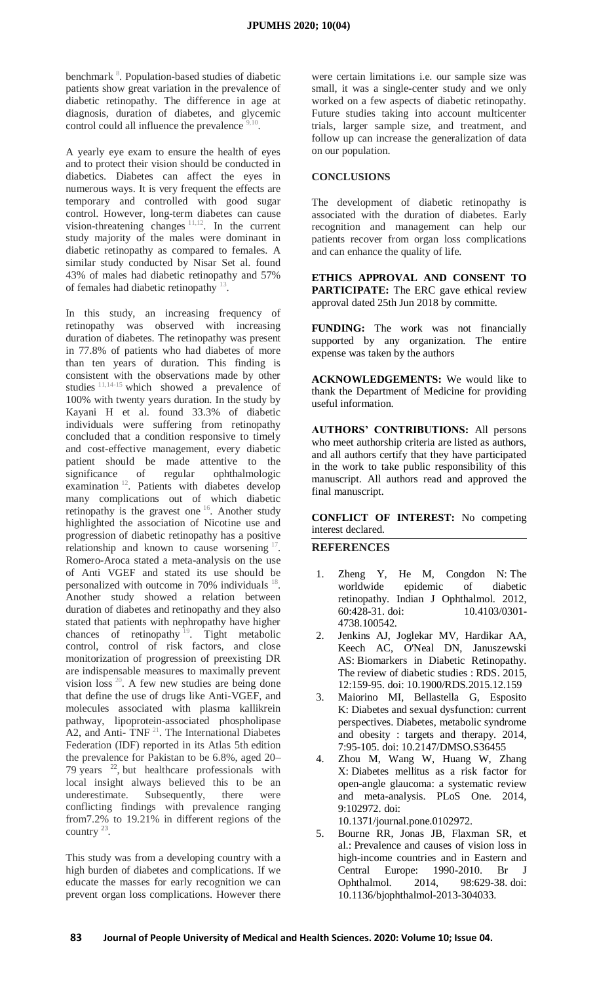benchmark<sup>8</sup>[.](https://www.cureus.com/publish/articles/33202-effect-of-duration-of-diabetes-mellitus-as-a-significant-marker-for-diabetic-retinopathy/preview#references) Population-based studies of diabetic patients show great variation in the prevalence of diabetic retinopathy. The difference in age at diagnosis, duration of diabetes, and glycemic control could all influence the prevalence 9,1 .

A yearly eye exam to ensure the health of eyes and to protect their vision should be conducted in diabetics. Diabetes can affect the eyes in numerous ways. It is very frequent the effects are temporary and controlled with good sugar control. However, long-term diabetes can cause vision-threatening changes  $11,12$ . In the current study majority of the males were dominant in diabetic retinopathy as compared to females. A similar study conducted by Nisar Set al. found 43% of males had diabetic retinopathy and 57% of females had diabetic retinopathy  $13$ .

In this study, an increasing frequency of retinopathy was observed with increasing duration of diabetes. The retinopathy was present in 77.8% of patients who had diabetes of more than ten years of duration. This finding is consistent with the observations made by other studies  $11,14-15$  which showed a prevalence of 100% with twenty years duration. In the study by Kayani H et al. found 33.3% of diabetic individuals were suffering from retinopathy concluded that a condition responsive to timely and cost-effective management, every diabetic patient should be made attentive to the significance of regular ophthalmologic examination<sup>[12](https://www.cureus.com/publish/articles/33202-effect-of-duration-of-diabetes-mellitus-as-a-significant-marker-for-diabetic-retinopathy/preview#references)</sup>. Patients with diabetes develop many complications out of which diabetic retinopathy is the gravest one  $16$ . Another study highlighted the association of Nicotine use and progression of diabetic retinopathy has a positive relationship and known to cause worsening  $17$ . Romero-Aroca stated a meta-analysis on the use of Anti VGEF and stated its use should be personalized with outcome in 70% individuals <sup>[18](https://www.cureus.com/publish/articles/33202-effect-of-duration-of-diabetes-mellitus-as-a-significant-marker-for-diabetic-retinopathy/preview#references)</sup>. Another study showed a relation between duration of diabetes and retinopathy and they also stated that patients with nephropathy have higher chances of retinopathy  $19$ . Tight metabolic control, control of risk factors, and close monitorization of progression of preexisting DR are indispensable measures to maximally prevent vision loss  $20$ . A few new studies are being done that define the use of drugs like Anti-VGEF, and molecules associated with plasma kallikrein pathway, lipoprotein-associated phospholipase A2, and Anti-  $TNF<sup>21</sup>$  $TNF<sup>21</sup>$  $TNF<sup>21</sup>$ . The International Diabetes Federation (IDF) reported in its Atlas 5th edition the prevalence for Pakistan to be 6.8%, aged 20– 79 years  $2^2$ , but healthcare professionals with local insight always believed this to be an underestimate. Subsequently, there were conflicting findings with prevalence ranging from7.2% to 19.21% in different regions of the country  $^{23}$ .

This study was from a developing country with a high burden of diabetes and complications. If we educate the masses for early recognition we can prevent organ loss complications. However there

were certain limitations i.e. our sample size was small, it was a single-center study and we only worked on a few aspects of diabetic retinopathy. Future studies taking into account multicenter trials, larger sample size, and treatment, and follow up can increase the generalization of data on our population.

#### **CONCLUSIONS**

The development of diabetic retinopathy is associated with the duration of diabetes. Early recognition and management can help our patients recover from organ loss complications and can enhance the quality of life.

**ETHICS APPROVAL AND CONSENT TO PARTICIPATE:** The ERC gave ethical review approval dated 25th Jun 2018 by committe.

**FUNDING:** The work was not financially supported by any organization. The entire expense was taken by the authors

**ACKNOWLEDGEMENTS:** We would like to thank the Department of Medicine for providing useful information.

**AUTHORS' CONTRIBUTIONS:** All persons who meet authorship criteria are listed as authors, and all authors certify that they have participated in the work to take public responsibility of this manuscript. All authors read and approved the final manuscript.

**CONFLICT OF INTEREST:** No competing interest declared.

**REFERENCES**

- Zheng Y, He M, Congdon N: The [worldwide epidemic of diabetic](https://dx.doi.org/doi:%2010.4103/0301-4738.100542.)  [retinopathy.](https://dx.doi.org/doi:%2010.4103/0301-4738.100542.) Indian J Ophthalmol. 2012, 60:428-31. [doi: 10.4103/0301-](https://dx.doi.org/doi:%2010.4103/0301-4738.100542.) [4738.100542.](https://dx.doi.org/doi:%2010.4103/0301-4738.100542.)
- 2. Jenkins AJ, Joglekar MV, Hardikar AA, Keech AC, O'Neal DN, Januszewski AS: [Biomarkers in Diabetic Retinopathy.](https://dx.doi.org/doi:%2010.1900/RDS.2015.12.159)  [The review of diabetic studies : RDS.](https://dx.doi.org/doi:%2010.1900/RDS.2015.12.159) 2015, 12:159-95. [doi: 10.1900/RDS.2015.12.159](https://dx.doi.org/doi:%2010.1900/RDS.2015.12.159)
- 3. Maiorino MI, Bellastella G, Esposito K: [Diabetes and sexual dysfunction: current](https://dx.doi.org/doi:%2010.2147/DMSO.S36455)  [perspectives.](https://dx.doi.org/doi:%2010.2147/DMSO.S36455) Diabetes, metabolic syndrome and obesity : targets and therapy. 2014, 7:95-105. [doi: 10.2147/DMSO.S36455](https://dx.doi.org/doi:%2010.2147/DMSO.S36455)
- 4. Zhou M, Wang W, Huang W, Zhang X: [Diabetes mellitus as a risk factor for](https://dx.doi.org/doi:%2010.1371/journal.pone.0102972.)  [open-angle glaucoma: a systematic review](https://dx.doi.org/doi:%2010.1371/journal.pone.0102972.)  [and meta-analysis.](https://dx.doi.org/doi:%2010.1371/journal.pone.0102972.) PLoS One. 2014, 9:102972. [doi:](https://dx.doi.org/doi:%2010.1371/journal.pone.0102972.)  [10.1371/journal.pone.0102972.](https://dx.doi.org/doi:%2010.1371/journal.pone.0102972.)

5. Bourne RR, Jonas JB, Flaxman SR, et al.: [Prevalence and causes of vision loss in](https://dx.doi.org/doi:%2010.1136/bjophthalmol-2013-304033.)  [high-income countries and in Eastern and](https://dx.doi.org/doi:%2010.1136/bjophthalmol-2013-304033.)  [Central Europe: 1990-2010.](https://dx.doi.org/doi:%2010.1136/bjophthalmol-2013-304033.) Br J Ophthalmol. 2014, 98:629-38. [doi:](https://dx.doi.org/doi:%2010.1136/bjophthalmol-2013-304033.)  [10.1136/bjophthalmol-2013-304033.](https://dx.doi.org/doi:%2010.1136/bjophthalmol-2013-304033.)